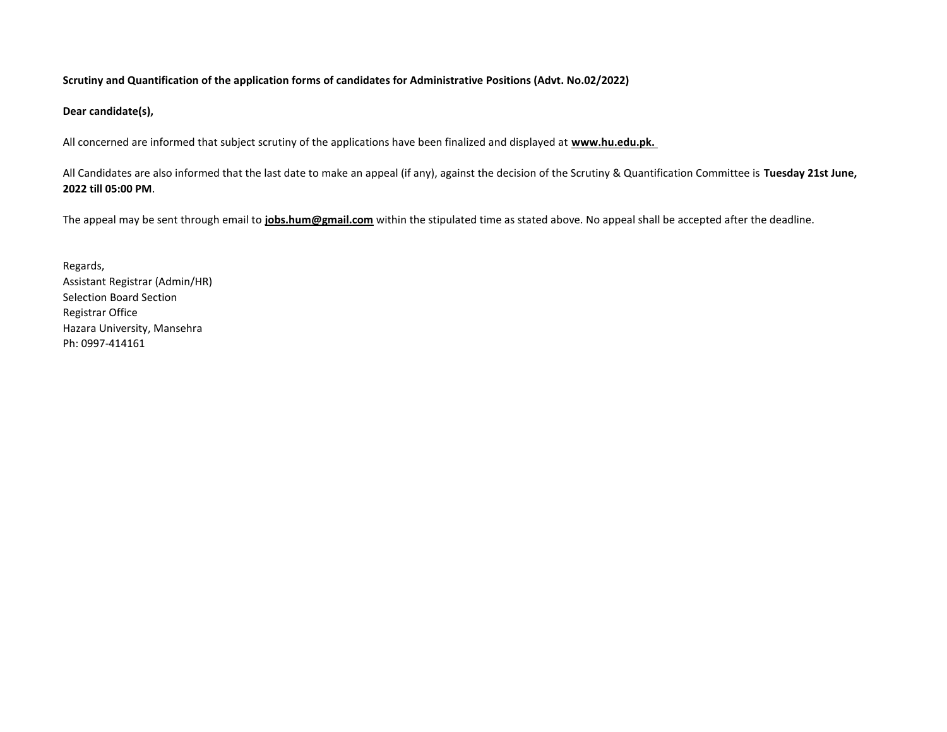#### **Scrutiny and Quantification of the application forms of candidates for Administrative Positions (Advt. No.02/2022)**

**Dear candidate(s),** 

All concerned are informed that subject scrutiny of the applications have been finalized and displayed at **www.hu.edu.pk.** 

All Candidates are also informed that the last date to make an appeal (if any), against the decision of the Scrutiny & Quantification Committee is **Tuesday 21st June, 2022 till 05:00 PM**.

The appeal may be sent through email to **jobs.hum@gmail.com** within the stipulated time as stated above. No appeal shall be accepted after the deadline.

Regards, Assistant Registrar (Admin/HR) Selection Board Section Registrar Office Hazara University, Mansehra Ph: 0997-414161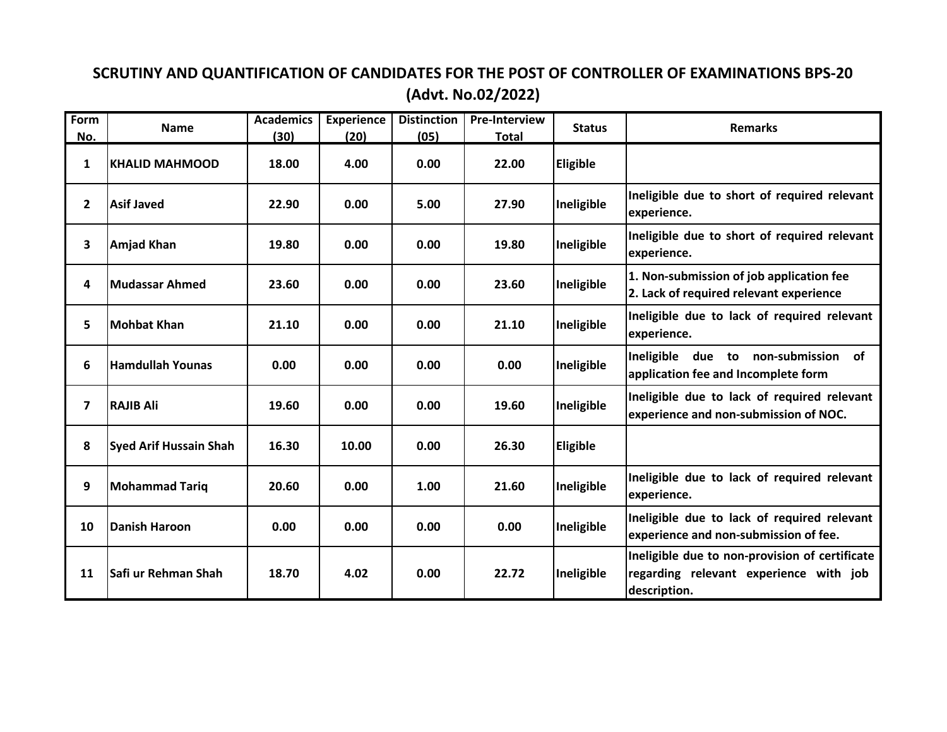#### **SCRUTINY AND QUANTIFICATION OF CANDIDATES FOR THE POST OF CONTROLLER OF EXAMINATIONS BPS-20 (Advt. No.02/2022)**

| Form<br>No.    | <b>Name</b>                   | <b>Academics</b><br>(30) | <b>Experience</b><br>(20) | <b>Distinction</b><br>(05) | <b>Pre-Interview</b><br><b>Total</b> | <b>Status</b>   | <b>Remarks</b>                                                                                           |
|----------------|-------------------------------|--------------------------|---------------------------|----------------------------|--------------------------------------|-----------------|----------------------------------------------------------------------------------------------------------|
| 1              | <b>KHALID MAHMOOD</b>         | 18.00                    | 4.00                      | 0.00                       | 22.00                                | <b>Eligible</b> |                                                                                                          |
| $\overline{2}$ | <b>Asif Javed</b>             | 22.90                    | 0.00                      | 5.00                       | 27.90                                | Ineligible      | Ineligible due to short of required relevant<br>experience.                                              |
| 3              | <b>Amjad Khan</b>             | 19.80                    | 0.00                      | 0.00                       | 19.80                                | Ineligible      | Ineligible due to short of required relevant<br>experience.                                              |
| 4              | <b>Mudassar Ahmed</b>         | 23.60                    | 0.00                      | 0.00                       | 23.60                                | Ineligible      | 1. Non-submission of job application fee<br>2. Lack of required relevant experience                      |
| 5              | <b>Mohbat Khan</b>            | 21.10                    | 0.00                      | 0.00                       | 21.10                                | Ineligible      | Ineligible due to lack of required relevant<br>experience.                                               |
| 6              | <b>Hamdullah Younas</b>       | 0.00                     | 0.00                      | 0.00                       | 0.00                                 | Ineligible      | of<br>Ineligible due to non-submission<br>application fee and Incomplete form                            |
| $\overline{ }$ | <b>RAJIB Ali</b>              | 19.60                    | 0.00                      | 0.00                       | 19.60                                | Ineligible      | Ineligible due to lack of required relevant<br>experience and non-submission of NOC.                     |
| 8              | <b>Syed Arif Hussain Shah</b> | 16.30                    | 10.00                     | 0.00                       | 26.30                                | <b>Eligible</b> |                                                                                                          |
| 9              | <b>Mohammad Tariq</b>         | 20.60                    | 0.00                      | 1.00                       | 21.60                                | Ineligible      | Ineligible due to lack of required relevant<br>experience.                                               |
| 10             | <b>Danish Haroon</b>          | 0.00                     | 0.00                      | 0.00                       | 0.00                                 | Ineligible      | Ineligible due to lack of required relevant<br>experience and non-submission of fee.                     |
| 11             | lSafi ur Rehman Shah          | 18.70                    | 4.02                      | 0.00                       | 22.72                                | Ineligible      | Ineligible due to non-provision of certificate<br>regarding relevant experience with job<br>description. |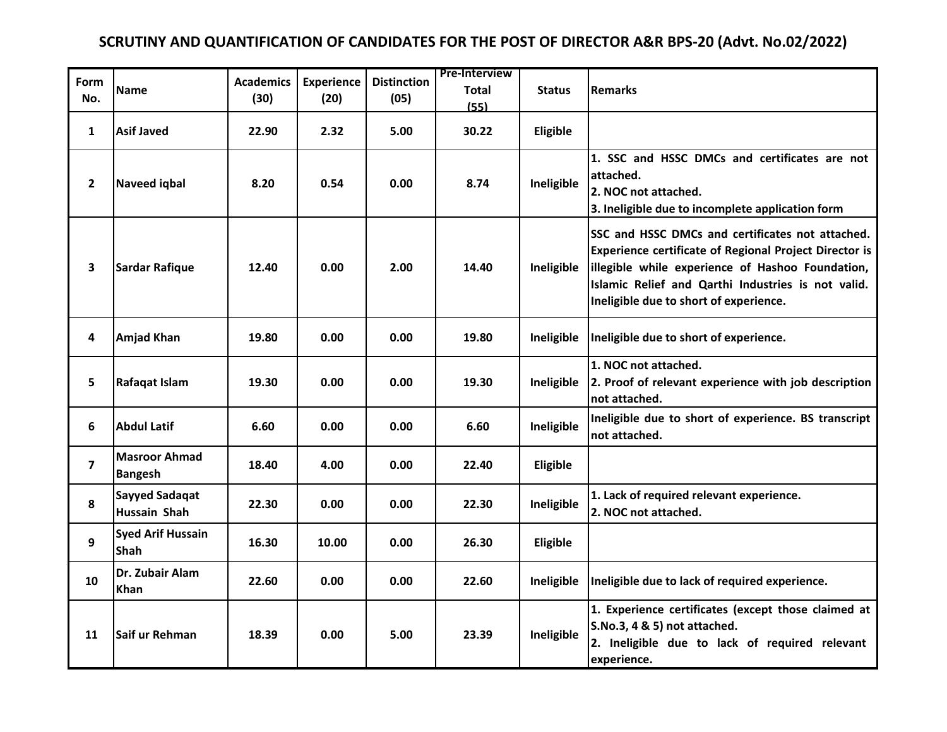# **SCRUTINY AND QUANTIFICATION OF CANDIDATES FOR THE POST OF DIRECTOR A&R BPS-20 (Advt. No.02/2022)**

| Form<br>No.             | <b>Name</b>                             | <b>Academics</b><br>(30) | <b>Experience</b><br>(20) | <b>Distinction</b><br>(05) | <b>Pre-Interview</b><br>Total<br>(55) | <b>Status</b> | <b>Remarks</b>                                                                                                                                                                                                                                                        |
|-------------------------|-----------------------------------------|--------------------------|---------------------------|----------------------------|---------------------------------------|---------------|-----------------------------------------------------------------------------------------------------------------------------------------------------------------------------------------------------------------------------------------------------------------------|
| $\mathbf{1}$            | <b>Asif Javed</b>                       | 22.90                    | 2.32                      | 5.00                       | 30.22                                 | Eligible      |                                                                                                                                                                                                                                                                       |
| $\overline{\mathbf{2}}$ | <b>Naveed igbal</b>                     | 8.20                     | 0.54                      | 0.00                       | 8.74                                  | Ineligible    | 1. SSC and HSSC DMCs and certificates are not<br>attached.<br>2. NOC not attached.<br>3. Ineligible due to incomplete application form                                                                                                                                |
| 3                       | <b>Sardar Rafique</b>                   | 12.40                    | 0.00                      | 2.00                       | 14.40                                 | Ineligible    | SSC and HSSC DMCs and certificates not attached.<br><b>Experience certificate of Regional Project Director is</b><br>illegible while experience of Hashoo Foundation,<br>Islamic Relief and Qarthi Industries is not valid.<br>Ineligible due to short of experience. |
| 4                       | <b>Amjad Khan</b>                       | 19.80                    | 0.00                      | 0.00                       | 19.80                                 | Ineligible    | Ineligible due to short of experience.                                                                                                                                                                                                                                |
| 5                       | Rafaqat Islam                           | 19.30                    | 0.00                      | 0.00                       | 19.30                                 | Ineligible    | 1. NOC not attached.<br>2. Proof of relevant experience with job description<br>not attached.                                                                                                                                                                         |
| 6                       | <b>Abdul Latif</b>                      | 6.60                     | 0.00                      | 0.00                       | 6.60                                  | Ineligible    | Ineligible due to short of experience. BS transcript<br>not attached.                                                                                                                                                                                                 |
| $\overline{\mathbf{z}}$ | <b>Masroor Ahmad</b><br><b>Bangesh</b>  | 18.40                    | 4.00                      | 0.00                       | 22.40                                 | Eligible      |                                                                                                                                                                                                                                                                       |
| 8                       | <b>Sayyed Sadaqat</b><br>Hussain Shah   | 22.30                    | 0.00                      | 0.00                       | 22.30                                 | Ineligible    | 1. Lack of required relevant experience.<br>2. NOC not attached.                                                                                                                                                                                                      |
| 9                       | <b>Syed Arif Hussain</b><br><b>Shah</b> | 16.30                    | 10.00                     | 0.00                       | 26.30                                 | Eligible      |                                                                                                                                                                                                                                                                       |
| 10                      | Dr. Zubair Alam<br><b>Khan</b>          | 22.60                    | 0.00                      | 0.00                       | 22.60                                 | Ineligible    | Ineligible due to lack of required experience.                                                                                                                                                                                                                        |
| 11                      | Saif ur Rehman                          | 18.39                    | 0.00                      | 5.00                       | 23.39                                 | Ineligible    | 1. Experience certificates (except those claimed at<br>S.No.3, 4 & 5) not attached.<br>2. Ineligible due to lack of required relevant<br>experience.                                                                                                                  |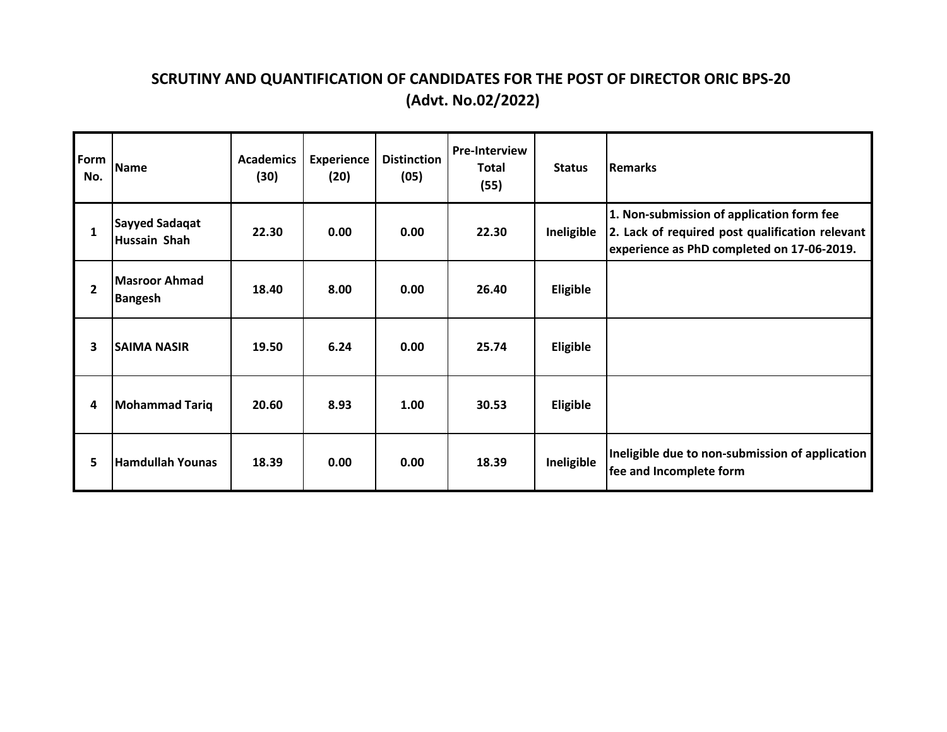# **SCRUTINY AND QUANTIFICATION OF CANDIDATES FOR THE POST OF DIRECTOR ORIC BPS-20 (Advt. No.02/2022)**

| Form<br>No.    | <b>Name</b>                            | <b>Academics</b><br>(30) | <b>Experience</b><br>(20) | <b>Distinction</b><br>(05) | <b>Pre-Interview</b><br><b>Total</b><br>(55) | <b>Status</b>   | <b>Remarks</b>                                                                                                                             |
|----------------|----------------------------------------|--------------------------|---------------------------|----------------------------|----------------------------------------------|-----------------|--------------------------------------------------------------------------------------------------------------------------------------------|
| 1              | <b>Sayyed Sadaqat</b><br>Hussain Shah  | 22.30                    | 0.00                      | 0.00                       | 22.30                                        | Ineligible      | 1. Non-submission of application form fee<br>2. Lack of required post qualification relevant<br>experience as PhD completed on 17-06-2019. |
| $\overline{2}$ | <b>Masroor Ahmad</b><br><b>Bangesh</b> | 18.40                    | 8.00                      | 0.00                       | 26.40                                        | <b>Eligible</b> |                                                                                                                                            |
| 3              | <b>SAIMA NASIR</b>                     | 19.50                    | 6.24                      | 0.00                       | 25.74                                        | <b>Eligible</b> |                                                                                                                                            |
| 4              | <b>Mohammad Tariq</b>                  | 20.60                    | 8.93                      | 1.00                       | 30.53                                        | <b>Eligible</b> |                                                                                                                                            |
| 5              | <b>Hamdullah Younas</b>                | 18.39                    | 0.00                      | 0.00                       | 18.39                                        | Ineligible      | Ineligible due to non-submission of application<br>fee and Incomplete form                                                                 |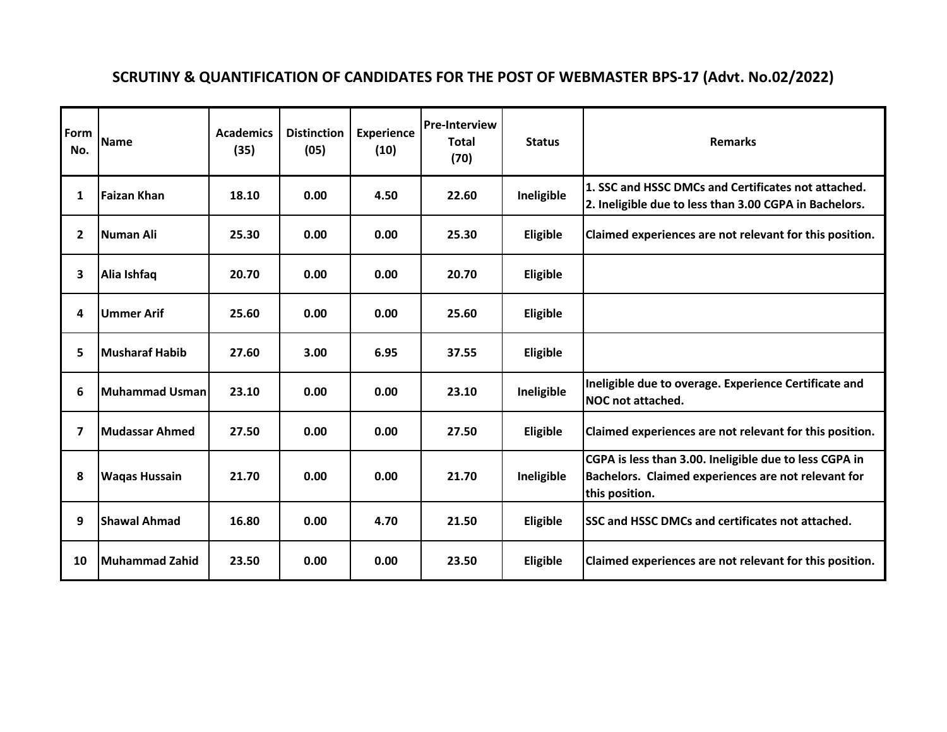# **SCRUTINY & QUANTIFICATION OF CANDIDATES FOR THE POST OF WEBMASTER BPS-17 (Advt. No.02/2022)**

| Form<br>No.  | <b>Name</b>           | <b>Academics</b><br>(35) | <b>Distinction</b><br>(05) | <b>Experience</b><br>(10) | <b>Pre-Interview</b><br><b>Total</b><br>(70) | <b>Status</b> | <b>Remarks</b>                                                                                                                  |
|--------------|-----------------------|--------------------------|----------------------------|---------------------------|----------------------------------------------|---------------|---------------------------------------------------------------------------------------------------------------------------------|
| 1            | <b>Faizan Khan</b>    | 18.10                    | 0.00                       | 4.50                      | 22.60                                        | Ineligible    | 1. SSC and HSSC DMCs and Certificates not attached.<br>2. Ineligible due to less than 3.00 CGPA in Bachelors.                   |
| $\mathbf{2}$ | <b>Numan Ali</b>      | 25.30                    | 0.00                       | 0.00                      | 25.30                                        | Eligible      | Claimed experiences are not relevant for this position.                                                                         |
| 3            | Alia Ishfaq           | 20.70                    | 0.00                       | 0.00                      | 20.70                                        | Eligible      |                                                                                                                                 |
| 4            | <b>Ummer Arif</b>     | 25.60                    | 0.00                       | 0.00                      | 25.60                                        | Eligible      |                                                                                                                                 |
| 5            | <b>Musharaf Habib</b> | 27.60                    | 3.00                       | 6.95                      | 37.55                                        | Eligible      |                                                                                                                                 |
| 6            | Muhammad Usman        | 23.10                    | 0.00                       | 0.00                      | 23.10                                        | Ineligible    | Ineligible due to overage. Experience Certificate and<br>NOC not attached.                                                      |
| 7            | <b>Mudassar Ahmed</b> | 27.50                    | 0.00                       | 0.00                      | 27.50                                        | Eligible      | Claimed experiences are not relevant for this position.                                                                         |
| 8            | <b>Wagas Hussain</b>  | 21.70                    | 0.00                       | 0.00                      | 21.70                                        | Ineligible    | CGPA is less than 3.00. Ineligible due to less CGPA in<br>Bachelors. Claimed experiences are not relevant for<br>this position. |
| 9            | <b>Shawal Ahmad</b>   | 16.80                    | 0.00                       | 4.70                      | 21.50                                        | Eligible      | <b>SSC and HSSC DMCs and certificates not attached.</b>                                                                         |
| 10           | Muhammad Zahid        | 23.50                    | 0.00                       | 0.00                      | 23.50                                        | Eligible      | Claimed experiences are not relevant for this position.                                                                         |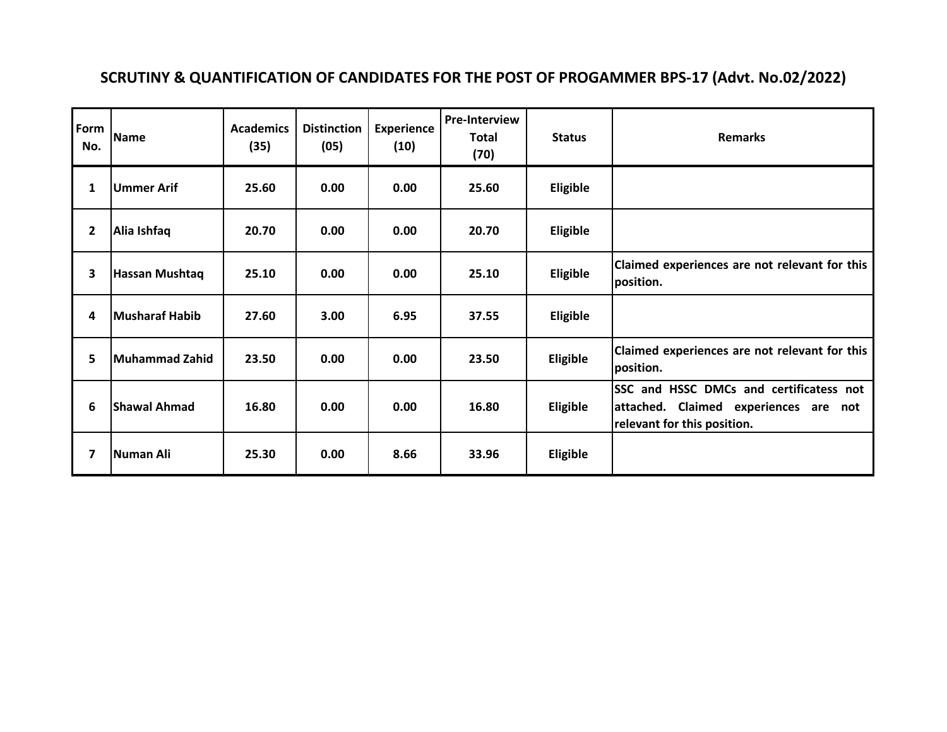# **SCRUTINY & QUANTIFICATION OF CANDIDATES FOR THE POST OF PROGAMMER BPS-17 (Advt. No.02/2022)**

| Form<br>No. | <b>Name</b>           | <b>Academics</b><br>(35) | <b>Distinction</b><br>(05) | <b>Experience</b><br>(10) | <b>Pre-Interview</b><br><b>Total</b><br>(70) | <b>Status</b> | <b>Remarks</b>                                                                                                  |
|-------------|-----------------------|--------------------------|----------------------------|---------------------------|----------------------------------------------|---------------|-----------------------------------------------------------------------------------------------------------------|
| 1           | <b>Ummer Arif</b>     | 25.60                    | 0.00                       | 0.00                      | 25.60                                        | Eligible      |                                                                                                                 |
| 2           | Alia Ishfaq           | 20.70                    | 0.00                       | 0.00                      | 20.70                                        | Eligible      |                                                                                                                 |
| 3           | Hassan Mushtaq        | 25.10                    | 0.00                       | 0.00                      | 25.10                                        | Eligible      | Claimed experiences are not relevant for this<br>position.                                                      |
| 4           | <b>Musharaf Habib</b> | 27.60                    | 3.00                       | 6.95                      | 37.55                                        | Eligible      |                                                                                                                 |
| 5           | <b>Muhammad Zahid</b> | 23.50                    | 0.00                       | 0.00                      | 23.50                                        | Eligible      | Claimed experiences are not relevant for this<br>position.                                                      |
| 6           | <b>Shawal Ahmad</b>   | 16.80                    | 0.00                       | 0.00                      | 16.80                                        | Eligible      | SSC and HSSC DMCs and certificatess not<br>attached. Claimed experiences are not<br>relevant for this position. |
| 7           | Numan Ali             | 25.30                    | 0.00                       | 8.66                      | 33.96                                        | Eligible      |                                                                                                                 |